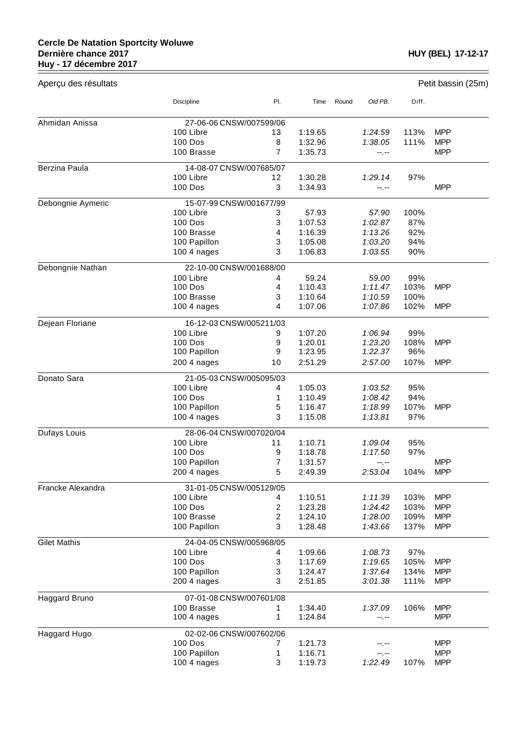$=$ 

| Aperçu des résultats | Petit bassin (25m)      |                |         |                  |       |            |
|----------------------|-------------------------|----------------|---------|------------------|-------|------------|
|                      | <b>Discipline</b>       | PI.            | Time    | Old PB.<br>Round | Diff. |            |
| Ahmidan Anissa       | 27-06-06 CNSW/007599/06 |                |         |                  |       |            |
|                      | 100 Libre               | 13             | 1:19.65 | 1:24.59          | 113%  | <b>MPP</b> |
|                      | <b>100 Dos</b>          | 8              | 1:32.96 | 1:38.05          | 111%  | <b>MPP</b> |
|                      | 100 Brasse              | $\overline{7}$ | 1:35.73 | --.--            |       | <b>MPP</b> |
| Berzina Paula        | 14-08-07 CNSW/007685/07 |                |         |                  |       |            |
|                      | 100 Libre               | 12             | 1:30.28 | 1:29.14          | 97%   |            |
|                      | 100 Dos                 | 3              | 1:34.93 | --.--            |       | <b>MPP</b> |
| Debongnie Aymeric    | 15-07-99 CNSW/001677/99 |                |         |                  |       |            |
|                      | 100 Libre               | 3              | 57.93   | 57.90            | 100%  |            |
|                      | <b>100 Dos</b>          | 3              | 1:07.53 | 1:02.87          | 87%   |            |
|                      | 100 Brasse              | 4              | 1:16.39 | 1:13.26          | 92%   |            |
|                      | 100 Papillon            | 3              | 1:05.08 | 1:03.20          | 94%   |            |
|                      | 100 4 nages             | 3              | 1:06.83 | 1:03.55          | 90%   |            |
| Debongnie Nathan     | 22-10-00 CNSW/001688/00 |                |         |                  |       |            |
|                      | 100 Libre               | 4              | 59.24   | 59.00            | 99%   |            |
|                      | 100 Dos                 | 4              | 1:10.43 | 1:11.47          | 103%  | <b>MPP</b> |
|                      | 100 Brasse              | 3              | 1:10.64 | 1:10.59          | 100%  |            |
|                      | 100 4 nages             | 4              | 1:07.06 | 1:07.86          | 102%  | <b>MPP</b> |
| Dejean Floriane      | 16-12-03 CNSW/005211/03 |                |         |                  |       |            |
|                      | 100 Libre               | 9              | 1:07.20 | 1:06.94          | 99%   |            |
|                      | <b>100 Dos</b>          | 9              | 1:20.01 | 1:23.20          | 108%  | <b>MPP</b> |
|                      | 100 Papillon            | 9              | 1:23.95 | 1:22.37          | 96%   |            |
|                      | 200 4 nages             | 10             | 2:51.29 | 2:57.00          | 107%  | <b>MPP</b> |
| Donato Sara          | 21-05-03 CNSW/005095/03 |                |         |                  |       |            |
|                      | 100 Libre               | 4              | 1:05.03 | 1:03.52          | 95%   |            |
|                      | 100 Dos                 | 1              | 1:10.49 | 1:08.42          | 94%   |            |
|                      | 100 Papillon            | 5              | 1:16.47 | 1:18.99          | 107%  | <b>MPP</b> |
|                      | $1004$ nages            | 3              | 1:15.08 | 1:13.81          | 97%   |            |
| Dufays Louis         | 28-06-04 CNSW/007020/04 |                |         |                  |       |            |
|                      | 100 Libre               | 11             | 1:10.71 | 1:09.04          | 95%   |            |
|                      | 100 Dos                 | 9              | 1:18.78 | 1:17.50          | 97%   |            |
|                      | 100 Papillon            | 7              | 1:31.57 | --.--            |       | <b>MPP</b> |
|                      | 200 4 nages             | 5              | 2:49.39 | 2:53.04          | 104%  | <b>MPP</b> |
| Francke Alexandra    | 31-01-05 CNSW/005129/05 |                |         |                  |       |            |
|                      | 100 Libre               | 4              | 1:10.51 | 1:11.39          | 103%  | <b>MPP</b> |
|                      | <b>100 Dos</b>          | 2              | 1:23.28 | 1:24.42          | 103%  | <b>MPP</b> |
|                      | 100 Brasse              | $\overline{c}$ | 1:24.10 | 1:28.00          | 109%  | <b>MPP</b> |
|                      | 100 Papillon            | 3              | 1:28.48 | 1:43.66          | 137%  | <b>MPP</b> |
| <b>Gilet Mathis</b>  | 24-04-05 CNSW/005968/05 |                |         |                  |       |            |
|                      | 100 Libre               | 4              | 1:09.66 | 1:08.73          | 97%   |            |
|                      | 100 Dos                 | 3              | 1:17.69 | 1:19.65          | 105%  | <b>MPP</b> |
|                      | 100 Papillon            | 3              | 1:24.47 | 1:37.64          | 134%  | <b>MPP</b> |
|                      | 200 4 nages             | 3              | 2:51.85 | 3:01.38          | 111%  | <b>MPP</b> |
| Haggard Bruno        | 07-01-08 CNSW/007601/08 |                |         |                  |       |            |
|                      | 100 Brasse              | 1              | 1:34.40 | 1:37.09          | 106%  | <b>MPP</b> |
|                      | 100 4 nages             | 1              | 1:24.84 | --.--            |       | <b>MPP</b> |
| Haggard Hugo         | 02-02-06 CNSW/007602/06 |                |         |                  |       |            |
|                      | 100 Dos                 | 7              | 1:21.73 | --.--            |       | <b>MPP</b> |
|                      | 100 Papillon            | 1              | 1:16.71 | --.--            |       | <b>MPP</b> |
|                      | 100 4 nages             | 3              | 1:19.73 | 1:22.49          | 107%  | <b>MPP</b> |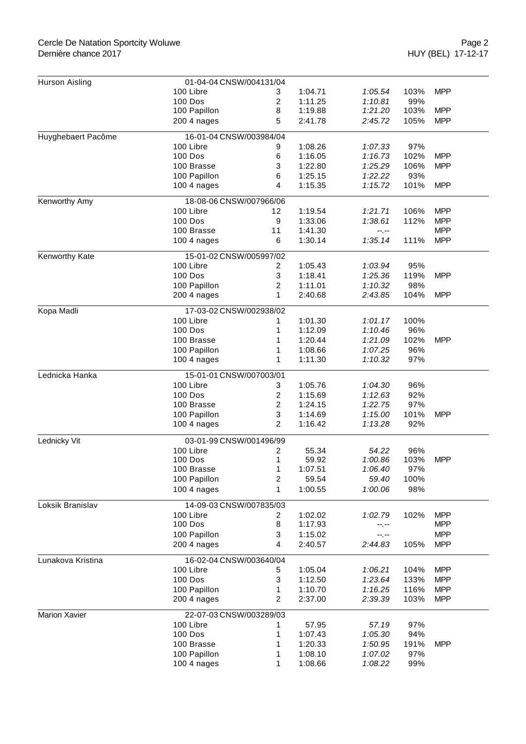## Cercle De Natation Sportcity Woluwe Dernière chance 2017

| Hurson Aisling     | 01-04-04 CNSW/004131/04                                                |                |         |         |      |            |  |
|--------------------|------------------------------------------------------------------------|----------------|---------|---------|------|------------|--|
|                    | 100 Libre                                                              | 3              | 1:04.71 | 1:05.54 | 103% | <b>MPP</b> |  |
|                    | 100 Dos                                                                | 2              | 1:11.25 | 1:10.81 | 99%  |            |  |
|                    | 100 Papillon                                                           | 8              | 1:19.88 | 1:21.20 | 103% | <b>MPP</b> |  |
|                    | 200 4 nages                                                            | 5              | 2:41.78 | 2:45.72 | 105% | <b>MPP</b> |  |
| Huyghebaert Pacôme |                                                                        |                |         |         |      |            |  |
|                    | 16-01-04 CNSW/003984/04<br>100 Libre<br>1:08.26<br>9<br>1:07.33<br>97% |                |         |         |      |            |  |
|                    | 100 Dos                                                                | 6              | 1:16.05 | 1:16.73 | 102% | <b>MPP</b> |  |
|                    | 100 Brasse                                                             | 3              | 1:22.80 | 1:25.29 | 106% | <b>MPP</b> |  |
|                    | 100 Papillon                                                           | 6              | 1:25.15 | 1:22.22 | 93%  |            |  |
|                    | 100 4 nages                                                            | 4              | 1:15.35 | 1:15.72 | 101% | <b>MPP</b> |  |
|                    |                                                                        |                |         |         |      |            |  |
| Kenworthy Amy      | 18-08-06 CNSW/007966/06<br>100 Libre                                   | 12             | 1:19.54 | 1:21.71 | 106% | <b>MPP</b> |  |
|                    |                                                                        |                |         |         |      |            |  |
|                    | 100 Dos                                                                | 9              | 1:33.06 | 1:38.61 | 112% | <b>MPP</b> |  |
|                    | 100 Brasse                                                             | 11             | 1:41.30 | --.--   |      | <b>MPP</b> |  |
|                    | 100 4 nages                                                            | 6              | 1:30.14 | 1:35.14 | 111% | <b>MPP</b> |  |
| Kenworthy Kate     | 15-01-02 CNSW/005997/02                                                |                |         |         |      |            |  |
|                    | 100 Libre                                                              | 2              | 1:05.43 | 1:03.94 | 95%  |            |  |
|                    | <b>100 Dos</b>                                                         | 3              | 1:18.41 | 1:25.36 | 119% | <b>MPP</b> |  |
|                    | 100 Papillon                                                           | 2              | 1:11.01 | 1:10.32 | 98%  |            |  |
|                    | 200 4 nages                                                            | 1              | 2:40.68 | 2:43.85 | 104% | <b>MPP</b> |  |
| Kopa Madli         | 17-03-02 CNSW/002938/02                                                |                |         |         |      |            |  |
|                    | 100 Libre                                                              | 1              | 1:01.30 | 1:01.17 | 100% |            |  |
|                    | <b>100 Dos</b>                                                         | 1              | 1:12.09 | 1:10.46 | 96%  |            |  |
|                    | 100 Brasse                                                             | 1              | 1:20.44 | 1:21.09 | 102% | <b>MPP</b> |  |
|                    | 100 Papillon                                                           | 1              | 1:08.66 | 1:07.25 | 96%  |            |  |
|                    | 100 4 nages                                                            | 1              | 1:11.30 | 1:10.32 | 97%  |            |  |
| Lednicka Hanka     | 15-01-01 CNSW/007003/01                                                |                |         |         |      |            |  |
|                    | 100 Libre                                                              | 3              | 1:05.76 | 1:04.30 | 96%  |            |  |
|                    | 100 Dos                                                                | 2              | 1:15.69 | 1:12.63 | 92%  |            |  |
|                    | 100 Brasse                                                             | $\overline{c}$ | 1:24.15 | 1:22.75 | 97%  |            |  |
|                    | 100 Papillon                                                           | 3              | 1:14.69 | 1:15.00 | 101% | <b>MPP</b> |  |
|                    | 100 4 nages                                                            | 2              | 1:16.42 | 1:13.28 | 92%  |            |  |
| Lednicky Vit       | 03-01-99 CNSW/001496/99                                                |                |         |         |      |            |  |
|                    | 100 Libre                                                              | 2              | 55.34   | 54.22   | 96%  |            |  |
|                    | <b>100 Dos</b>                                                         | 1              | 59.92   | 1:00.86 | 103% | <b>MPP</b> |  |
|                    | 100 Brasse                                                             | 1              | 1:07.51 | 1:06.40 | 97%  |            |  |
|                    | 100 Papillon                                                           | 2              | 59.54   | 59.40   | 100% |            |  |
|                    | $1004$ nages                                                           | 1              | 1:00.55 | 1:00.06 | 98%  |            |  |
|                    |                                                                        |                |         |         |      |            |  |
| Loksik Branislav   | 14-09-03 CNSW/007835/03                                                |                |         |         |      |            |  |
|                    | 100 Libre<br>100 Dos                                                   | 2              | 1:02.02 | 1:02.79 | 102% | <b>MPP</b> |  |
|                    |                                                                        | 8              | 1:17.93 | --.--   |      | <b>MPP</b> |  |
|                    | 100 Papillon                                                           | 3              | 1:15.02 | --.--   |      | <b>MPP</b> |  |
|                    | 200 4 nages                                                            | 4              | 2:40.57 | 2:44.83 | 105% | <b>MPP</b> |  |
| Lunakova Kristina  | 16-02-04 CNSW/003640/04                                                |                |         |         |      |            |  |
|                    | 100 Libre                                                              | 5              | 1:05.04 | 1:06.21 | 104% | <b>MPP</b> |  |
|                    | 100 Dos                                                                | 3              | 1:12.50 | 1:23.64 | 133% | <b>MPP</b> |  |
|                    | 100 Papillon                                                           | 1              | 1:10.70 | 1:16.25 | 116% | <b>MPP</b> |  |
|                    | 200 4 nages                                                            | 2              | 2:37.00 | 2:39.39 | 103% | <b>MPP</b> |  |
| Marion Xavier      | 22-07-03 CNSW/003289/03                                                |                |         |         |      |            |  |
|                    | 100 Libre                                                              |                | 57.95   | 57.19   | 97%  |            |  |
|                    | 100 Dos                                                                | 1              | 1:07.43 | 1:05.30 | 94%  |            |  |
|                    | 100 Brasse                                                             | 1              | 1:20.33 | 1:50.95 | 191% | <b>MPP</b> |  |
|                    | 100 Papillon                                                           | 1              | 1:08.10 | 1:07.02 | 97%  |            |  |
|                    | 100 4 nages                                                            | 1              | 1:08.66 | 1:08.22 | 99%  |            |  |